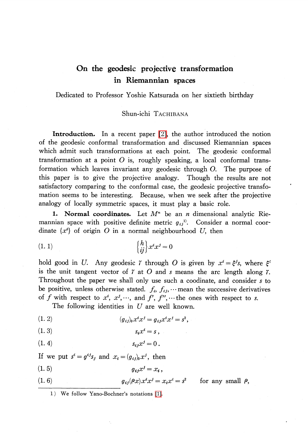## On the geodesic projective transformation in Riemannian spaces

Dedicated to Professor Yoshie Katsurada on her sixtieth birthday

## Shun-ichi TACHIBANA

Introduction. In a recent paper [\[2\],](#page-7-0) the author introduced the notion of the geodesic conformal transformation and discussed Riemannian spaces which admit such transformations at each point. The geodesic conformal transformation at a point O is, roughly speaking, a local conformal transformation which leaves invariant any geodesic through O. The purpose of this paper is to give the projective analogy. Though the results are not satisfactory comparing to the conformal case, the geodesic projective transfomation seems to be interesting. Because, when we seek after the projective analogy of locally symmetric spaces, it must play a basic role.

1. Normal coordinates. Let  $M^{n}$  be an n dimensional analytic Riemannian space with positive definite metric  $g_{ij}$ <sup>1)</sup>. Consider a normal coordinate  $\{x^{i}\}$  of origin O in a normal neighbourhood U, then

$$
\begin{cases} h \\ ij \end{cases} x^i x^j = 0
$$

hold good in U. Any geodesic  $\gamma$  through O is given by  $x^{i}=\xi^{j}s$ , where  $\xi^{j}$ is the unit tangent vector of  $\gamma$  at  $O$  and s means the arc length along  $\gamma$ . Throughout the paper we shall only use such a coodinate, and consider s to be positive, unless otherwise stated.  $f_{i}$ ,  $f_{ij}$ ,  $\cdots$  mean the successive derivatives of f with respect to  $x^{i}$ ,  $x^{j}$ ,  $\cdots$ , and  $f'$ ,  $f''$ ,  $\cdots$  the ones with respect to s.<br>The following identities in *U* are well known

The following identities in  $U$  are well known.

(1. 2) 
$$
(g_{ij})_0 x^i x^j = g_{ij} x^i x^j = s^2,
$$

$$
(1.3) \t\t s_i x^i = s,
$$

(1. 4)  $s_{ij}x^{j}=0$ .

If we put  $s^{i}=g^{ij}s_{j}$  and  $x_{i}=(g_{ij})_{0}x^{j}$ , then

(1. 5)  $q_{ij}x^{j} = x_{ij}$ ,

(1.6) 
$$
g_{ij}(\rho x)x^i x^j = x_ix^i = s^2 \quad \text{for any small } \rho,
$$

1) We follow Yano-Bochner's notations [\[1\].](#page-7-1)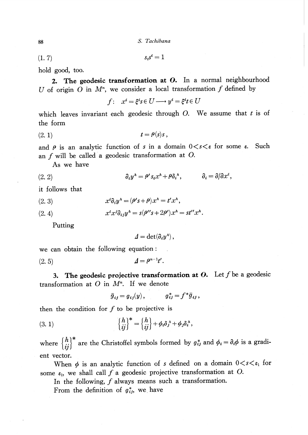(1. 7)  $s_{i}s^{i}=1$ 

hold good, too.

2. The geodesic transformation at  $\bm{O}$ . In a normal neighbourhood  $U$  of origin  $O$  in  $M^{n}$ we consider a local transformation  $f$  defined by

$$
f: x^i = \xi^i s \in U \longrightarrow y^i = \xi^i t \in U
$$

which leaves invariant each geodesic through  $O$ . We assume that  $t$  is of the form

$$
(2. 1) \t t = \rho(s)s,
$$

and  $\rho$  is an analytic function of s in a domain  $0 \lt s \lt \varepsilon$  for some  $\varepsilon$ . . Such an  $f$  will be called a geodesic transformation at  $O$ .

As we have

$$
(2. 2) \t\t\t \partial_i y^h = \rho' s_i x^h + \rho \delta_i^h, \t\t \partial_i = \partial/\partial x^i,
$$

it follows that

(2. 3) 
$$
x^i \partial_i y^h = (\rho's + \rho)x^h = t' x^h,
$$

(2. 4) 
$$
x^i x^j \partial_{ij} y^h = s(\rho'' s + 2\rho') x^h = st'' x^h.
$$

Putting

 $\Delta=\det(\partial_{i}y^{\alpha})$ ,

we can obtain the following equation:

(2. 5)  $\Delta=\rho^{n-1}t'$ .

3. The geodesic projective transformation at O. Let f be a geodesic transformation at  $O$  in  $M^{n}$ . If we denote

 $\overline{g}_{ij}=g_{ij}(y), \qquad \qquad \overline{g}_{ij}^{*}=f^{*}g_{ij},$ 

then the condition for  $f$  to be projective is

(3. 1) 
$$
\begin{cases} h \\ ij \end{cases}^* = \begin{cases} h \\ ij \end{cases} + \phi_i \delta_j^A + \phi_j \delta_i^A,
$$

where  $\{\begin{matrix}h\\ij\end{matrix}\}^*$  are the Christoffel symbols formed by  $g_{ij}^*$  and  $\phi_{i}=\partial_{i}\phi$  is a gradient vector.

When  $\phi$  is an analytic function of s defined on a domain  $0 < s < \varepsilon_{1}$  for when  $\varphi$  is an analytic function of s defined on a domain  $\sigma$ .<br>some  $\varepsilon_{1}$ , we shall call f a geodesic projective transformation at O.

E  $\varepsilon_1$ , we shall call J a geodesic projective transformation.<br>In the following, f always means such a transformation.

From the definition of  $g_{ij}^{*}$ , we have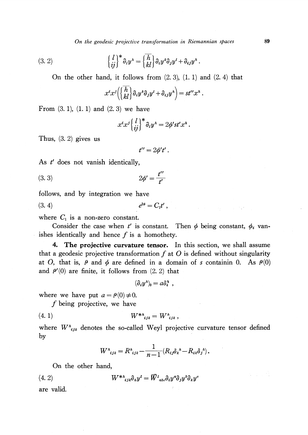On the geodesic projective transformation in Riemannian spaces 89

.

(3. 2) 
$$
\left\{\frac{l}{ij}\right\}^* \partial_i y^{\lambda} = \left\{\frac{\overline{h}}{kl}\right\} \partial_i y^k \partial_j y^l + \partial_{ij} y^{\lambda}
$$

On the other hand, it follows from  $(2, 3)$ ,  $(1, 1)$  and  $(2, 4)$  that

$$
x^i x^j \left( \left\{ \overline{h} \atop kl \right\} \partial_i y^k \partial_j y^l + \partial_{ij} y^h \right) = st'' x^h.
$$

From  $(3. 1)$ ,  $(1. 1)$  and  $(2. 3)$  we have

$$
x^i x^j \left\{ \begin{matrix} l \\ ij \end{matrix} \right\}^* \partial_i y^i = 2 \phi' s t' x^i.
$$

Thus, (3. 2) gives us

$$
t^{\prime\prime}=2\phi^\prime t^\prime.
$$

As  $t'$  does not vanish identically,

(3. 3) 
$$
2\phi' = \frac{t''}{t'}
$$

follows, and by integration we have

$$
(3. 4) \t\t e^{2\phi} = C_1 t',
$$

where  $C_{1}$  is a non-zero constant.

Consider the case when t' is constant. Then  $\phi$  being constant,  $\phi_{i}$  vanishes identically and hence  $f$  is a homothety.

4. The projective curvature tensor. In this section, we shall assume that a geodesic projective transformation  $f$  at  $\overline{O}$  is defined without singularity<br>at  $\overline{O}$  that is  $\overline{O}$  and  $\phi$  are defined in a domain of s containin  $\overline{O}$ . As  $\overline{O}$ (0) at O, that is,  $\rho$  and  $\phi$  are defined in a domain of s containin 0. As  $\rho(0)$ and  $\rho'(0)$  are finite, it follows from  $(2, 2)$  that

$$
(\partial_i y^{\hskip.75pt \hskip.75pt \hskip.75pt \hskip.75pt} )_0 = a {\hskip.05pt \hskip.75pt \hskip.75pt \hskip.75pt a}^{\hskip.75pt \hskip.75pt \hskip.75pt \hskip.75pt \hskip.75pt \hskip.75pt \hskip.75pt \hskip.75pt \hskip.75pt \hskip.75pt} ,
$$

where we have put  $a=\rho(0)\neq 0$ .

 $f$  being projective, we have

$$
(4. 1) \t\t W^{*h}{}_{ijk} = W^h{}_{ijk} \,,
$$

where  $W_{ijk}^{h}$  denotes the so-called Weyl projective curvature tensor defined by

$$
W^{h}_{ijk} = R^{h}_{ijk} - \frac{1}{n-1} (R_{ij} \delta_{k}{}^{h} - R_{ik} \delta_{j}{}^{h}).
$$

On the other hand,

$$
(4.2) \t W^{*a}{}_{ijk}\partial_{h}y^{l} = \overline{W}^{l}{}_{abc}\partial_{i}y^{a}\partial_{j}y^{b}\partial_{k}y^{c}
$$

are valid.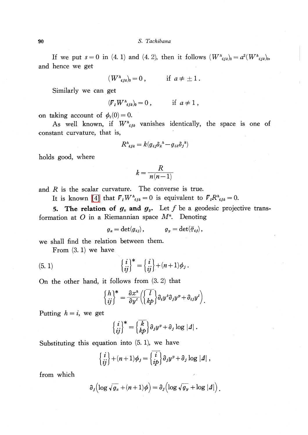If we put  $s=0$  in (4. 1) and (4. 2), then it follows  $(W_{i,jk})_{0}=a^{2}(W_{i,jk})_{0}$ , and hence we get

$$
(W^{\textit{\tiny $h$}}_{\ \ \ \ \ \ \ \ i\mathit{s}})_0 = 0 \ , \qquad \quad \text{ if } \ a \neq \pm \, 1 \, .
$$

Similarly we can get

$$
(\nabla_{\iota} W^{\iota}_{\iota j k})_0 = 0 , \qquad \text{if } a \neq 1 ,
$$

on taking account of  $\phi_{i}(0)=0$ .

As well known, if  $W_{\text{ijk}}^{h}$  vanishes identically, the space is one of constant curvature, that is,

$$
R^{\lambda}_{ijk} = k(g_{ij}\delta_{k}{}^{\lambda} - g_{ik}\delta_{j}{}^{\lambda})
$$

holds good, where

$$
k = \frac{R}{n(n-1)}
$$

and  $R$  is the scalar curvature. The converse is true.

It is known [\[4\]](#page-7-2) that  $\nabla_{l}W_{ijk}^{h}=0$  is equivalent to  $\nabla_{l}R_{ijk}^{h}=0$ .

5. The relation of  $\bm{g}_{\bm{x}}$  and  $\bm{g}_{\bm{y}}$ . Let f be a geodesic projective transformation at  $O$  in a Riemannian space  $M^{n}$ . Denoting

$$
g_x = \det(g_{ij}), \qquad \qquad g_y = \det(\bar{g}_{ij}),
$$

we shall find the relation between them.

From (3. 1) we have

(5. 1) 
$$
\left\{\begin{array}{c} i \\ ij \end{array}\right\}^* = \left\{\begin{array}{c} i \\ ij \end{array}\right\} + (n+1)\phi_j.
$$

On the other hand, it follows from (3. 2) that

$$
\begin{Bmatrix} h \\ ij \end{Bmatrix}^* = \frac{\partial x^h}{\partial y^l} \left( \begin{bmatrix} l \\ kp \end{bmatrix} \partial_i y^k \partial_j y^p + \partial_{ij} y^l \right).
$$

Putting  $h=i$ , we get

$$
\begin{Bmatrix} i \\ ij \end{Bmatrix}^* = \begin{Bmatrix} k \\ kp \end{Bmatrix} \partial_j y^p + \partial_j \log |A|.
$$

Substituting this equation into (5. 1), we have

$$
\begin{Bmatrix} i \\ ij \end{Bmatrix} + (n+1)\phi_j = \begin{Bmatrix} i \\ ip \end{Bmatrix} \partial_j y^p + \partial_j \log |A|,
$$

from which

$$
\partial_j\left(\log\sqrt{g_x}+(n+1)\phi\right)=\partial_j\left(\log\sqrt{g_y}+\log|{\bf 1}|\right).
$$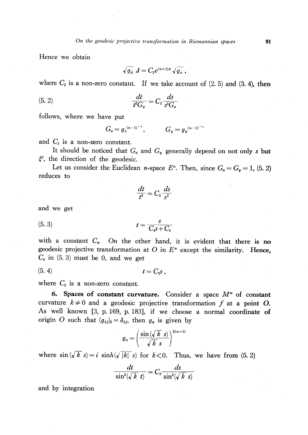Hence we obtain

$$
\sqrt{\overline{g}_y}\,\varDelta = C_2 e^{(n+1)\phi}\,\sqrt{\overline{g_x}}\ ,
$$

where  $C_{2}$  is a non-zero constant. If we take account of (2. 5) and (3. 4), then

$$
\frac{dt}{t^2 G_y} = C_3 \frac{ds}{s^2 G_x}
$$

follows, where we have put

$$
G_x = g_x^{(n-1)^{-1}}, \tG_y = g_y^{(n-1)^{-1}}
$$

and  $C_{3}$  is a non-zero constant.

It should be noticed that  $G_{x}$  and  $G_{y}$  generally depend on not only s but  $\xi^{i}$ , the direction of the geodesic.

Let us consider the Euclidean *n*-space  $E^{n}$ . Then, since  $G_{x}=G_{y}=1$ , (5. 2) reduces to

$$
\frac{dt}{t^2} = C_3 \frac{ds}{s^2}
$$

and we get

(5.3) 
$$
t = \frac{s}{C_4 s + C_3}
$$

with a constant  $C_{4}$ . On the other hand, it is evident that there is no geodesic projective transformation at O in  $E^{n}$  except the similarity. Hence,  $C_{4}$  in (5. 3) must be 0, and we get

(5. 4)  $t=C_{5}s$ .

where  $C_{5}$  is a non-zero constant.

6. Spaces of constant curvature. Consider a space  $M^{n}$  of constant curvature  $k \neq 0$  and a geodesic projective transformation f at a point O.<br>As well known [3, p. 169, p. 183] if we choose a normal coordinate of As well known [3, p. 169, p. 183], if we choose a normal coordinate of origin O such that  $(g_{ij})_{0} = \delta_{ij}$ , then  $g_{x}$  is given by

$$
g_x = \left(\frac{\sin\left(\sqrt{k} \ s\right)}{\sqrt{k} \ s}\right)^{2(n-1)}
$$

where  $\sin(\sqrt{k} s)=i\sinh(\sqrt{|k|} s)$  for  $k<0$ . Thus, we have from (5. 2)

$$
\frac{dt}{\sin^2(\sqrt{k} t)} = C_3 \frac{ds}{\sin^2(\sqrt{k} s)}
$$

and by integration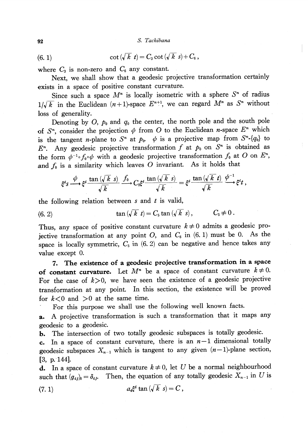92 S. Tachibana

(6. 1) 
$$
\cot(\sqrt{k} t) = C_3 \cot(\sqrt{k} s) + C_6,
$$

where  $C_{3}$  is non-zero and  $C_{6}$  any constant.

Next, we shall show that a geodesic projective transformation certainly exists in a space of positive constant curvature.

Since such a space  $M^{n}$  is locally isometric with a sphere  $S^{n}$  of radius  $1/\sqrt{k}$  in the Euclidean  $(n+1)$ -space  $E^{n+1}$ , we can regard  $M^{n}$  as  $S^{n}$  without loss of generality.

Denoting by O,  $p_{0}$  and  $q_{0}$  the center, the north pole and the south pole of  $S^{n}$ , consider the projection  $\phi$  from O to the Euclidean *n*-space  $E^{n}$  which is the tangent *n*-plane to  $S^{n}$  at  $p_{0}$ .  $\phi$  is a projective map from  $S^{n}$ - $\{q_{0}\}$  to  $F^{\prime}$ Any geodesic projective transformation  $f$  at  $p_{0}$  on  $S^{n}$  is obtained as the form  $\phi^{-1}\circ f_{0}\circ\phi$  with a geodesic projective transformation  $f_{0}$  at  $O$  on  $E^{n}$ , and  $f_{0}$  is a similarity which leaves O invariant. As it holds that

$$
\xi^i s \xrightarrow{\phi} \xi^i \frac{\tan(\sqrt{k} \ s)}{\sqrt{k}} \xrightarrow{f_0} C_5 \xi^i \frac{\tan(\sqrt{k} \ s)}{\sqrt{k}} = \xi^i \frac{\tan(\sqrt{k} \ t)}{\sqrt{k}} \xrightarrow{\phi^{-1}} \xi^i t,
$$

the following relation between  $s$  and  $t$  is valid,

(6. 2) 
$$
\tan(\sqrt{k} t) = C_5 \tan(\sqrt{k} s), \qquad C_5 \neq 0.
$$

Thus, any space of positive constant curvature  $k\neq 0$  admits a geodesic projective transformation at any point O, and  $C_{6}$  in (6. 1) must be 0. As the space is locally symmetric,  $C_{5}$  in (6. 2) can be negative and hence takes any value except 0.

7. The existence of a geodesic projective transformation in a space of constant curvature. Let  $M^{n}$  be a space of constant curvature  $k\neq 0$ . For the case of  $k>0$ , we have seen the existence of a geodesic projective transformation at any point. In this section, the existence will be proved for  $k<0$  and  $>0$  at the same time.

For this purpose we shall use the following well known facts.

a. A projective transformation is such <sup>a</sup> transformation that it maps any geodesic to a geodesic.

b. The intersection of two totally geodesic subspaces is totally geodesic.

c. In a space of constant curvature, there is an  $n-1$  dimensional totally geodesic subspaces  $X_{n-1}$  which is tangent to any given  $(n-1)$ -plane section, [3, p. 144].

**d.** In a space of constant curvature  $k\neq 0$ , let U be a normal neighbourhood such that  $(g_{ij})_{0} = \delta_{ij}$ . Then, the equation of any totally geodesic  $X_{n-1}$  in U is

(7. 1) 
$$
a_{i}\xi^{i} \tan(\sqrt{k} s) = C,
$$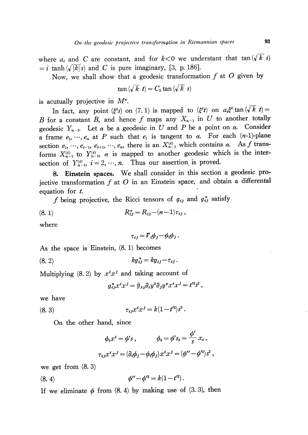where  $a_{i}$  and C are constant, and for  $k < 0$  we understant that tan  $(\sqrt{k}, s)$  $i = i$  tanh  $(\sqrt{\vert k \vert} s)$  and C is pure imaginary, [3, p. 186].

Now, we shall show that a geodesic transformation  $f$  at  $\overline{O}$  given by

$$
\tan(\sqrt{k} t) = C_5 \tan(\sqrt{k} s)
$$

is acutually projective in  $M^{n}$ .

In fact, any point ( $\xi^{i}s$ ) on (7. 1) is mapped to ( $\xi^{i}t$ ) on  $a_{i}\xi^{i} \tan (\sqrt{\overline{k}} t)=$ B for a constant B, and hence f maps any  $X_{n-1}$  in U to another totally geodesic  $Y_{n-1}$ . Let  $\alpha$  be a geodesic in U and P be a point on  $\alpha$ . Consider a frame  $e_{1}$ ,  $\cdots$ ,  $e_{n}$  at P such that  $e_{1}$  is tangent to  $\alpha$ . For each  $(n-1)$ -plane section  $e_{1}$ ,  $\cdots$ ,  $e_{i-1}$ ,  $e_{i+1}$ ,  $\cdots$ ,  $e_{n}$ , there is an  $X_{n-1}^{(i)}$  which contains  $\alpha$ . As f transforms  $X_{n-1}^{(i)}$  to  $Y_{n-1}^{(i)}$ ,  $\alpha$  is mapped to another geodesic which is the intersection of  $Y_{n-1}^{(i)}$ ,  $i=2, \dots, n$ . Thus our assertion is proved.

8. Einstein spaces. We shall consider in this section <sup>a</sup> geodesic pro-S. Einstein spaces. We shall consider in this section a geodesic  $\overline{P}$ . equation for t.

f being projective, the Ricci tensors of  $g_{ij}$  and  $g_{ij}^{*}$  satisfy

(8. 1) 
$$
R_{ij}^* = R_{ij} - (n-1)\tau_{ij},
$$

where

$$
\tau_{ij} = \overline{V}_i \phi_j - \phi_i \phi_j.
$$

As the space is Einstein, (8. 1) becomes

(8. 2)  $kg^{*}_{ij}=kg_{ij}-\tau_{ij}$ .

Multiplying (8. 2) by  $x^{i}x^{j}$  and taking account of

$$
g_{ij}^* x^i x^j = \bar{g}_{kn} \partial_i y^k \partial_j y^p x^i x^j = t^2 s^2,
$$

we have

(8. 3) 
$$
\tau_{ij}x^{i}x^{j} = k(1-t'^{2})s^{2}.
$$

On the other hand, since

$$
\phi_i x^i = \phi's, \qquad \phi_i = \phi's_i = \frac{\phi'}{s} x_i ,
$$
  

$$
\tau_{ij} x^i x^j = (\partial_i \phi_j - \phi_i \phi_j) x^i x^j = (\phi'' - \phi'^2) s^2 ,
$$

we get from  $(8, 3)$ 

(8. 4) 
$$
\phi'' - \phi'^2 = k(1 - t'^2).
$$

If we eliminate  $\phi$  from (8. 4) by making use of (3. 3), then